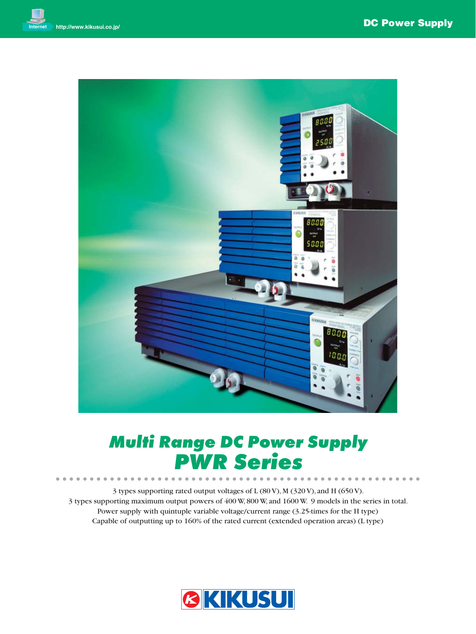

# *Multi Range DC Power Supply*

**PWR SERIES**<br>
3 types supporting rated output voltages of L (80 V), M (320 V), and H (650 V). 3 types supporting maximum output powers of 400 W, 800 W, and 1600 W. 9 models in the series in total. Power supply with quintuple variable voltage/current range (3.25-times for the H type) Capable of outputting up to 160% of the rated current (extended operation areas) (L type)

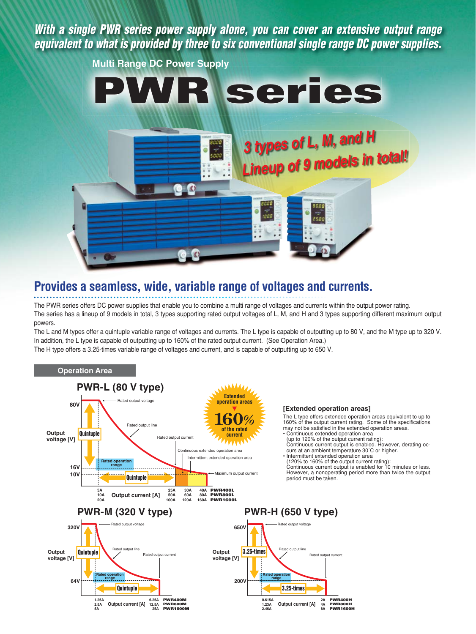*With a single PWR series power supply alone, you can cover an extensive output range equivalent to what is provided by three to six conventional single range DC power supplies.*



### **Provides a seamless, wide, variable range of voltages and currents.**

The PWR series offers DC power supplies that enable you to combine a multi range of voltages and currents within the output power rating. The series has a lineup of 9 models in total, 3 types supporting rated output voltages of L, M, and H and 3 types supporting different maximum output powers.

The L and M types offer a quintuple variable range of voltages and currents. The L type is capable of outputting up to 80 V, and the M type up to 320 V. In addition, the L type is capable of outputting up to 160% of the rated output current. (See Operation Area.) The H type offers a 3.25-times variable range of voltages and current, and is capable of outputting up to 650 V.

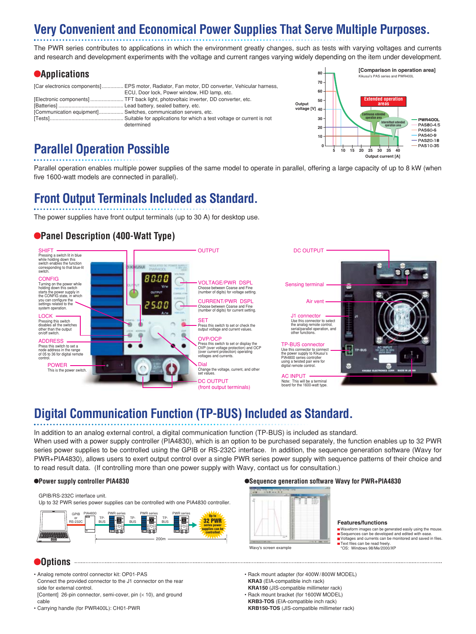## **Very Convenient and Economical Power Supplies That Serve Multiple Purposes.**

The PWR series contributes to applications in which the environment greatly changes, such as tests with varying voltages and currents and research and development experiments with the voltage and current ranges varying widely depending on the item under development.

### **Applications**

|                                                                 | [Car electronics components] EPS motor, Radiator, Fan motor, DD converter, Vehicular harness, |
|-----------------------------------------------------------------|-----------------------------------------------------------------------------------------------|
|                                                                 | ECU, Door lock, Power window, HID lamp, etc.                                                  |
|                                                                 | [Electronic components]  TFT back light, photovoltaic inverter, DD converter, etc.            |
|                                                                 |                                                                                               |
| [Communication equipment] Switches, communication servers, etc. |                                                                                               |
|                                                                 |                                                                                               |
|                                                                 | determined                                                                                    |



### **Parallel Operation Possible**

Parallel operation enables multiple power supplies of the same model to operate in parallel, offering a large capacity of up to 8 kW (when five 1600-watt models are connected in parallel).

## **Front Output Terminals Included as Standard.**

The power supplies have front output terminals (up to 30 A) for desktop use.

### **Panel Description (400-Watt Type)**



## **Digital Communication Function (TP-BUS) Included as Standard.**

In addition to an analog external control, a digital communication function (TP-BUS) is included as standard.

When used with a power supply controller (PIA4830), which is an option to be purchased separately, the function enables up to 32 PWR series power supplies to be controlled using the GPIB or RS-232C interface. In addition, the sequence generation software (Wavy for PWR+PIA4830), allows users to exert output control over a single PWR series power supply with sequence patterns of their choice and to read result data. (If controlling more than one power supply with Wavy, contact us for consultation.)

GPIB/RS-232C interface unit.

Up to 32 PWR series power supplies can be controlled with one PIA4830 controller.



#### **Options**

- Analog remote control connector kit: OP01-PAS Connect the provided connector to the J1 connector on the rear side for external control.
- [Content] 26-pin connector, semi-cover, pin  $(x 10)$ , and ground cable

• Carrying handle (for PWR400L): CH01-PWR

#### **Power supply controller PIA4830 Sequence generation software Wavy for PWR+PIA4830**



#### **Features/functions**

- Waveform images can be generated easily using the mouse. Sequences can be developed and edited with ease
- ∎Voltages and currents can be monitored and saved in files.<br>∎Text files can be read freely.
- 
- \*OS: Windows 98/Me/2000/XP
- Rack mount adapter (for 400W/800W MODEL)  **KRA3** (EIA-compatible inch rack)  **KRA150** (JIS-compatible millimeter rack)
- Rack mount bracket (for 1600W MODEL)  **KRB3-TOS** (EIA-compatible inch rack)  **KRB150-TOS** (JIS-compatible millimeter rack)